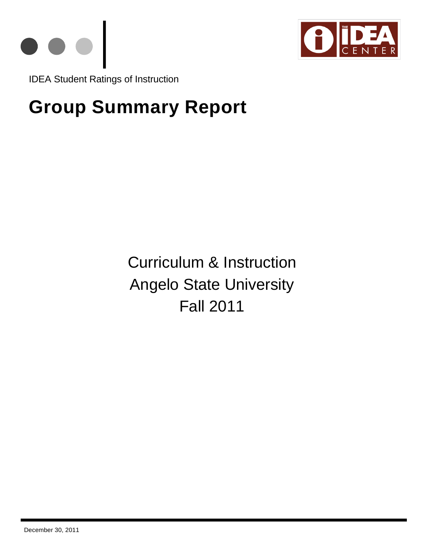



IDEA Student Ratings of Instruction

# **Group Summary Report**

Curriculum & Instruction Angelo State University Fall 2011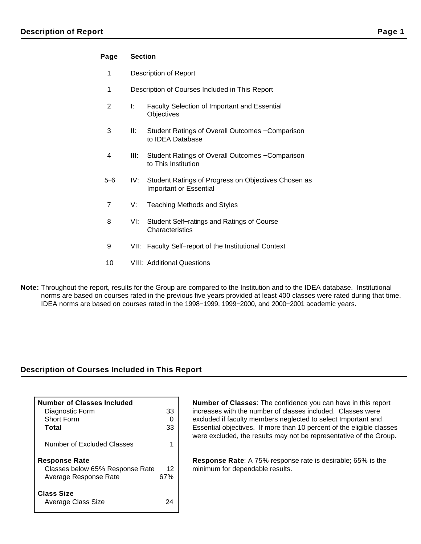## **Page Section**

- 1 Description of Report
- 1 Description of Courses Included in This Report
- 2 I: Faculty Selection of Important and Essential **Objectives**
- 3 II: Student Ratings of Overall Outcomes − Comparison to IDEA Database
- 4 III: Student Ratings of Overall Outcomes − Comparison to This Institution
- 5−6 IV: Student Ratings of Progress on Objectives Chosen as Important or Essential
- 7 V: Teaching Methods and Styles
- 8 VI: Student Self−ratings and Ratings of Course **Characteristics**
- 9 VII: Faculty Self–report of the Institutional Context
- 10 VIII: Additional Questions
- **Note:** Throughout the report, results for the Group are compared to the Institution and to the IDEA database. Institutional norms are based on courses rated in the previous five years provided at least 400 classes were rated during that time. IDEA norms are based on courses rated in the 1998−1999, 1999−2000, and 2000−2001 academic years.

## **Description of Courses Included in This Report**

| <b>Number of Classes Included</b><br>Diagnostic Form<br>Short Form<br>Total      | 33<br>33  |
|----------------------------------------------------------------------------------|-----------|
| Number of Excluded Classes                                                       |           |
| <b>Response Rate</b><br>Classes below 65% Response Rate<br>Average Response Rate | 12<br>67% |
| <b>Class Size</b><br>Average Class Size                                          | 24        |

**Number of Classes**: The confidence you can have in this report increases with the number of classes included. Classes were excluded if faculty members neglected to select Important and Essential objectives. If more than 10 percent of the eligible classes were excluded, the results may not be representative of the Group.

**Response Rate**: A 75% response rate is desirable; 65% is the minimum for dependable results.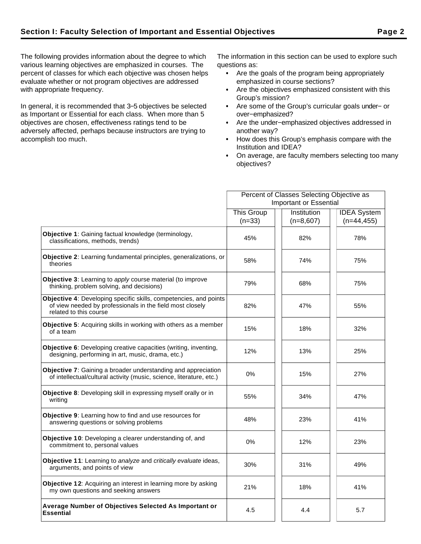The following provides information about the degree to which various learning objectives are emphasized in courses. The percent of classes for which each objective was chosen helps evaluate whether or not program objectives are addressed with appropriate frequency.

In general, it is recommended that 3−5 objectives be selected as Important or Essential for each class. When more than 5 objectives are chosen, effectiveness ratings tend to be adversely affected, perhaps because instructors are trying to accomplish too much.

The information in this section can be used to explore such questions as:

- Are the goals of the program being appropriately emphasized in course sections?
- Are the objectives emphasized consistent with this Group's mission?
- Are some of the Group's curricular goals under− or over−emphasized?
- Are the under−emphasized objectives addressed in another way?
- How does this Group's emphasis compare with the Institution and IDEA?
- On average, are faculty members selecting too many objectives?

|                                                                                                                                                          | Percent of Classes Selecting Objective as |             |                    |  |  |
|----------------------------------------------------------------------------------------------------------------------------------------------------------|-------------------------------------------|-------------|--------------------|--|--|
|                                                                                                                                                          | <b>Important or Essential</b>             |             |                    |  |  |
|                                                                                                                                                          | <b>This Group</b>                         | Institution | <b>IDEA</b> System |  |  |
|                                                                                                                                                          | $(n=33)$                                  | $(n=8,607)$ | $(n=44, 455)$      |  |  |
| Objective 1: Gaining factual knowledge (terminology,<br>classifications, methods, trends)                                                                | 45%                                       | 82%         | 78%                |  |  |
| Objective 2: Learning fundamental principles, generalizations, or<br>theories                                                                            | 58%                                       | 74%         | 75%                |  |  |
| <b>Objective 3:</b> Learning to apply course material (to improve<br>thinking, problem solving, and decisions)                                           | 79%                                       | 68%         | 75%                |  |  |
| Objective 4: Developing specific skills, competencies, and points<br>of view needed by professionals in the field most closely<br>related to this course | 82%                                       | 47%         | 55%                |  |  |
| <b>Objective 5:</b> Acquiring skills in working with others as a member<br>of a team                                                                     | 15%                                       | 18%         | 32%                |  |  |
| Objective 6: Developing creative capacities (writing, inventing,<br>designing, performing in art, music, drama, etc.)                                    | 12%                                       | 13%         | 25%                |  |  |
| <b>Objective 7:</b> Gaining a broader understanding and appreciation<br>of intellectual/cultural activity (music, science, literature, etc.)             | $0\%$                                     | 15%         | 27%                |  |  |
| Objective 8: Developing skill in expressing myself orally or in<br>writing                                                                               | 55%                                       | 34%         | 47%                |  |  |
| Objective 9: Learning how to find and use resources for<br>answering questions or solving problems                                                       | 48%                                       | 23%         | 41%                |  |  |
| Objective 10: Developing a clearer understanding of, and<br>commitment to, personal values                                                               | 0%                                        | 12%         | 23%                |  |  |
| <b>Objective 11:</b> Learning to analyze and critically evaluate ideas,<br>arguments, and points of view                                                 | 30%                                       | 31%         | 49%                |  |  |
| Objective 12: Acquiring an interest in learning more by asking<br>my own questions and seeking answers                                                   | 21%                                       | 18%         | 41%                |  |  |
| Average Number of Objectives Selected As Important or<br><b>Essential</b>                                                                                | 4.5                                       | 4.4         | 5.7                |  |  |
|                                                                                                                                                          |                                           |             |                    |  |  |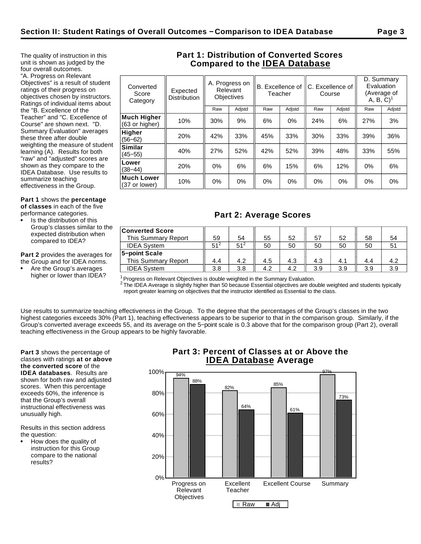The quality of instruction in this unit is shown as judged by the four overall outcomes. "A. Progress on Relevant Objectives" is a result of student ratings of their progress on objectives chosen by instructors. Ratings of individual items about the "B. Excellence of the Teacher" and "C. Excellence of Course" are shown next. "D. Summary Evaluation" averages these three after double weighting the measure of student learning (A). Results for both "raw" and "adjusted" scores are shown as they compare to the IDEA Database. Use results to summarize teaching

effectiveness in the Group.

**Part 1** shows the **percentage of classes** in each of the five performance categories.

Is the distribution of this Group's classes similar to the expected distribution when

**Part 2** provides the averages for the Group and for IDEA norms.

Are the Group's averages

compared to IDEA?

higher or lower than IDEA?

## **Part 1: Distribution of Converted Scores Compared to the IDEA Database**

| Converted<br>Score<br>Category | Expected<br><b>Distribution</b> | A. Progress on<br>Relevant<br><b>Objectives</b> |        | B. Excellence of IC. Excellence of<br>Teacher |        | Course |        | D. Summary<br>Evaluation<br>(Average of<br>$A, B, C$ <sup>1</sup> |        |  |
|--------------------------------|---------------------------------|-------------------------------------------------|--------|-----------------------------------------------|--------|--------|--------|-------------------------------------------------------------------|--------|--|
|                                |                                 | Raw                                             | Adjstd | Raw                                           | Adjstd | Raw    | Adjstd | Raw                                                               | Adjstd |  |
| Much Higher<br>(63 or higher)  | 10%                             | 30%                                             | 9%     | 6%                                            | $0\%$  | 24%    | 6%     | 27%                                                               | 3%     |  |
| Higher<br>$(56 - 62)$          | 20%                             | 42%                                             | 33%    | 45%                                           | 33%    | 30%    | 33%    | 39%                                                               | 36%    |  |
| Similar<br>$(45 - 55)$         | 40%                             | 27%                                             | 52%    | 42%                                           | 52%    | 39%    | 48%    | 33%                                                               | 55%    |  |
| Lower<br>$(38 - 44)$           | 20%                             | 0%                                              | 6%     | 6%                                            | 15%    | 6%     | 12%    | 0%                                                                | 6%     |  |
| Much Lower<br>(37 or lower)    | 10%                             | 0%                                              | 0%     | 0%                                            | $0\%$  | $0\%$  | 0%     | 0%                                                                | $0\%$  |  |
|                                |                                 |                                                 |        |                                               |        |        |        |                                                                   |        |  |

## **Part 2: Average Scores**

| <b>Converted Score</b><br><b>This Summary Report</b> | 59              | 54              | 55  | 52  | 57  | 52  | 58  | 54  |
|------------------------------------------------------|-----------------|-----------------|-----|-----|-----|-----|-----|-----|
| <b>IDEA System</b>                                   | 51 <sup>2</sup> | 51 <sup>2</sup> | 50  | 50  | 50  | 50  | 50  |     |
| 5-point Scale                                        |                 |                 |     |     |     |     |     |     |
| This Summary Report                                  | 4.4             | 4.2             | 4.5 | 4.3 | 4.3 | 4.1 | 4.4 |     |
| <b>IDEA System</b>                                   | 3.8             | 3.8             | 4.2 | 4.2 | 3.9 | 3.9 | 3.9 | 3.9 |

 $1$ Progress on Relevant Objectives is double weighted in the Summary Evaluation.

 $^2$  The IDEA Average is slightly higher than 50 because Essential objectives are double weighted and students typically report greater learning on objectives that the instructor identified as Essential to the class.

Use results to summarize teaching effectiveness in the Group. To the degree that the percentages of the Group's classes in the two highest categories exceeds 30% (Part 1), teaching effectiveness appears to be superior to that in the comparison group. Similarly, if the Group's converted average exceeds 55, and its average on the 5−point scale is 0.3 above that for the comparison group (Part 2), overall teaching effectiveness in the Group appears to be highly favorable.

**Part 3** shows the percentage of classes with ratings **at or above the converted score** of the **IDEA databases**. Results are shown for both raw and adjusted scores. When this percentage exceeds 60%, the inference is that the Group's overall instructional effectiveness was unusually high.

Results in this section address the question:

How does the quality of instruction for this Group compare to the national results?

## **Part 3: Percent of Classes at or Above the IDEA Database Average**

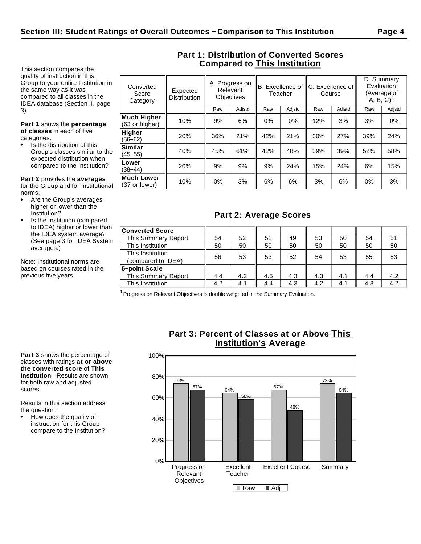This section compares the quality of instruction in this Group to your entire Institution in the same way as it was compared to all classes in the IDEA database (Section II, page 3).

**Part 1** shows the **percentage of classes** in each of five categories.

Is the distribution of this Group's classes similar to the expected distribution when compared to the Institution?

**Lower**<br>(38–44)

**Much Lower**

**Part 2** provides the **averages** for the Group and for Institutional norms.

- Are the Group's averages higher or lower than the Institution?
- Is the Institution (compared to IDEA) higher or lower than the IDEA system average? (See page 3 for IDEA System averages.)

Note: Institutional norms are based on courses rated in the previous five years.

|                                      |                                 |                                                                                                  |        |     |        |        |        | D. Summary             |             |
|--------------------------------------|---------------------------------|--------------------------------------------------------------------------------------------------|--------|-----|--------|--------|--------|------------------------|-------------|
| Converted<br>Score<br>Category       | Expected<br><b>Distribution</b> | A. Progress on<br>B. Excellence of IC. Excellence of<br>Relevant<br>Teacher<br><b>Objectives</b> |        |     |        | Course |        | Evaluation<br>A, B, C) | (Average of |
|                                      |                                 | Raw                                                                                              | Adjstd | Raw | Adjstd | Raw    | Adjstd | Raw                    | Adjstd      |
| <b>Much Higher</b><br>(63 or higher) | 10%                             | 9%                                                                                               | 6%     | 0%  | $0\%$  | 12%    | 3%     | 3%                     | $0\%$       |
| Higher<br>$(56 - 62)$                | 20%                             | 36%                                                                                              | 21%    | 42% | 21%    | 30%    | 27%    | 39%                    | 24%         |
| <b>Similar</b><br>$(45 - 55)$        | 40%                             | 45%                                                                                              | 61%    | 42% | 48%    | 39%    | 39%    | 52%                    | 58%         |

## **Part 1: Distribution of Converted Scores Compared to This Institution**

(38−44) 20% 9% 9% 9% 24% 15% 24% 6% 15%

|| 10% || 0% || 3% || 6% || 6% || 3% || 6% || 0% || 3% || 3% || 3% || 3% || 3% || 3% || 3% || 3% || 3% || 3% |

| <b>Converted Score</b>                 |     |     |     |     |     |     |     |     |
|----------------------------------------|-----|-----|-----|-----|-----|-----|-----|-----|
| This Summary Report                    | 54  | 52  | 51  | 49  | 53  | 50  | 54  | 51  |
| This Institution                       | 50  | 50  | 50  | 50  | 50  | 50  | 50  | 50  |
| This Institution<br>(compared to IDEA) | 56  | 53  | 53  | 52  | 54  | 53  | 55  | 53  |
| 5-point Scale                          |     |     |     |     |     |     |     |     |
| This Summary Report                    | 4.4 | 4.2 | 4.5 | 4.3 | 4.3 | 4.1 | 4.4 | 4.2 |
| This Institution                       | 4.2 | 4.1 | 4.4 | 4.3 | 4.2 | 4.1 | 4.3 | 4.2 |

 $1$  Progress on Relevant Objectives is double weighted in the Summary Evaluation.

**Part 3** shows the percentage of classes with ratings **at or above the converted score** of **This Institution**. Results are shown for both raw and adjusted scores.

Results in this section address the question:

How does the quality of instruction for this Group compare to the Institution?

## **Part 3: Percent of Classes at or Above This Institution's Average**

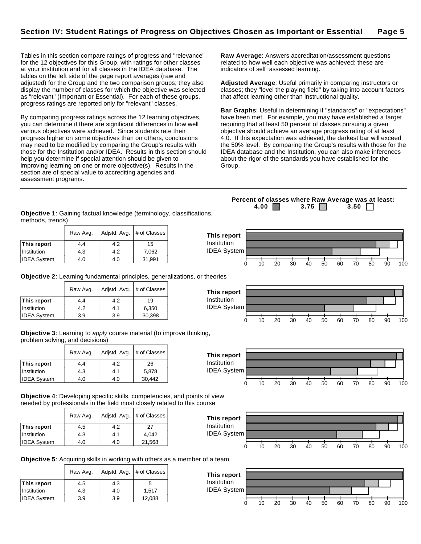Tables in this section compare ratings of progress and "relevance" for the 12 objectives for this Group, with ratings for other classes at your institution and for all classes in the IDEA database. The tables on the left side of the page report averages (raw and adjusted) for the Group and the two comparison groups; they also display the number of classes for which the objective was selected as "relevant" (Important or Essential). For each of these groups, progress ratings are reported only for "relevant" classes.

By comparing progress ratings across the 12 learning objectives, you can determine if there are significant differences in how well various objectives were achieved. Since students rate their progress higher on some objectives than on others, conclusions may need to be modified by comparing the Group's results with those for the Institution and/or IDEA. Results in this section should help you determine if special attention should be given to improving learning on one or more objective(s). Results in the section are of special value to accrediting agencies and assessment programs.

**Raw Average**: Answers accreditation/assessment questions related to how well each objective was achieved; these are indicators of self−assessed learning.

**Adjusted Average**: Useful primarily in comparing instructors or classes; they "level the playing field" by taking into account factors that affect learning other than instructional quality.

**Bar Graphs**: Useful in determining if "standards" or "expectations" have been met. For example, you may have established a target requiring that at least 50 percent of classes pursuing a given objective should achieve an average progress rating of at least 4.0. If this expectation was achieved, the darkest bar will exceed the 50% level. By comparing the Group's results with those for the IDEA database and the Institution, you can also make inferences about the rigor of the standards you have established for the Group.

**Objective 1**: Gaining factual knowledge (terminology, classifications, methods, trends)

|                    | Raw Avg. |     | Adjstd. Avg.   # of Classes | This report        |    |    |    |    |    |    |    |    |                 |
|--------------------|----------|-----|-----------------------------|--------------------|----|----|----|----|----|----|----|----|-----------------|
| This report        | 4.4      | 4.2 | 15                          | <b>Institution</b> |    |    |    |    |    |    |    |    |                 |
| Institution        | 4.3      | 4.2 | 7,062                       | <b>IDEA System</b> |    |    |    |    |    |    |    |    |                 |
| <b>IDEA System</b> | 4.0      | 4.0 | 31,991                      |                    | 20 | 30 | 40 | 50 | 60 | 70 | 80 | 90 | 10 <sub>C</sub> |

**This report** Institution IDEA System

**Objective 2**: Learning fundamental principles, generalizations, or theories

|                    | Raw Avg. | Adjstd. Avg. | # of Classes |
|--------------------|----------|--------------|--------------|
| This report        | 4.4      | 4.2          | 19           |
| Institution        | 4.2      | 4.1          | 6,350        |
| <b>IDEA System</b> | 3.9      | 3.9          | 30,398       |

**Objective 3**: Learning to apply course material (to improve thinking, problem solving, and decisions)

|                    | Raw Avg. |     | Adjstd. Avg.   # of Classes |
|--------------------|----------|-----|-----------------------------|
| This report        | 4.4      | 4.2 | 26                          |
| Institution        | 4.3      | 4.1 | 5,878                       |
| <b>IDEA System</b> | 4.0      | 4.0 | 30,442                      |

**Objective 4**: Developing specific skills, competencies, and points of view needed by professionals in the field most closely related to this course

|                    | Raw Avg. | Adjstd. Avg. | # of Classes |
|--------------------|----------|--------------|--------------|
| This report        | 4.5      | 4.2          | 27           |
| Institution        | 4.3      | 4.1          | 4.042        |
| <b>IDEA System</b> | 4.0      | 4.0          | 21,568       |



0 10 20 30 40 50 60 70 80 90 100

0 10 20 30 40 50 60 70 80 90 100

**Objective 5**: Acquiring skills in working with others as a member of a team

|                    | Raw Avg. | Adjstd. Avg. | # of Classes |
|--------------------|----------|--------------|--------------|
| This report        | 4.5      | 4.3          | 5            |
| Institution        | 4.3      | 4.0          | 1.517        |
| <b>IDEA System</b> | 3.9      | 3.9          | 12,088       |



**4.00 3.75 3.50** 

**Percent of classes where Raw Average was at least:**



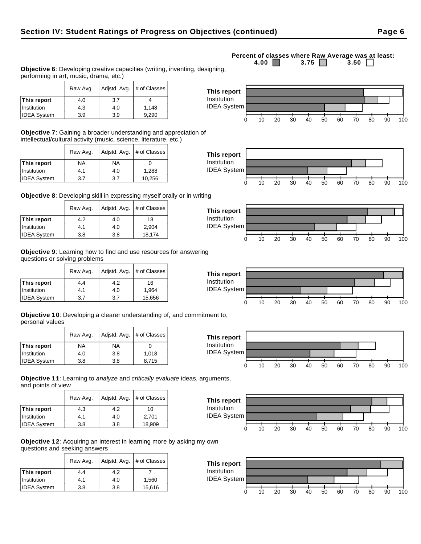**Objective 6**: Developing creative capacities (writing, inventing, designing, performing in art, music, drama, etc.)

|                    | Raw Avg. |     | Adistd. Avg. $#$ of Classes |
|--------------------|----------|-----|-----------------------------|
| This report        | 4.0      | 3.7 |                             |
| Institution        | 4.3      | 4.0 | 1.148                       |
| <b>IDEA System</b> | 3.9      | 3.9 | 9.290                       |

**Objective 7**: Gaining a broader understanding and appreciation of intellectual/cultural activity (music, science, literature, etc.)

|                    | Raw Avg. | Adjstd. Avg. | # of Classes |
|--------------------|----------|--------------|--------------|
| This report        | NA       | NA           |              |
| Institution        | 4.1      | 4.0          | 1,288        |
| <b>IDEA System</b> | 3.7      | 3.7          | 10,256       |

**Objective 8**: Developing skill in expressing myself orally or in writing

|                    | Raw Avg. | Adjstd. Avg. | # of Classes |  |  |
|--------------------|----------|--------------|--------------|--|--|
| This report        | 4.2      | 4.0          | 18           |  |  |
| Institution        | 4.1      | 4.0          | 2.904        |  |  |
| <b>IDEA System</b> | 3.8      | 3.8          | 18,174       |  |  |

**Objective 9**: Learning how to find and use resources for answering questions or solving problems

|                    | Raw Avg. |     | Adjstd. Avg.   # of Classes |  |
|--------------------|----------|-----|-----------------------------|--|
| This report        | 4.4      | 4.2 | 16                          |  |
| Institution        | 4.1      | 4.0 | 1,964                       |  |
| <b>IDEA System</b> | 3.7      | 3.7 | 15,656                      |  |

**Objective 10**: Developing a clearer understanding of, and commitment to, personal values

|                    | Raw Avg. | Adjstd. Avg. | # of Classes |
|--------------------|----------|--------------|--------------|
| This report        | ΝA       | NA           |              |
| Institution        | 4.0      | 3.8          | 1.018        |
| <b>IDEA System</b> | 3.8      | 3.8          | 8,715        |

**Objective 11**: Learning to analyze and critically evaluate ideas, arguments, and points of view

|                    | Raw Avg. | Adjstd. Avg. | # of Classes |
|--------------------|----------|--------------|--------------|
| This report        | 4.3      | 4.2          | 10           |
| Institution        | 4.1      | 4.0          | 2,701        |
| <b>IDEA System</b> | 3.8      | 3.8          | 18,909       |

**Objective 12**: Acquiring an interest in learning more by asking my own questions and seeking answers

|                    | Raw Avg. | Adjstd. Avg. | # of Classes |
|--------------------|----------|--------------|--------------|
| This report        | 4.4      | 4.2          |              |
| Institution        | 4.1      | 4.0          | 1,560        |
| <b>IDEA System</b> | 3.8      | 3.8          | 15,616       |















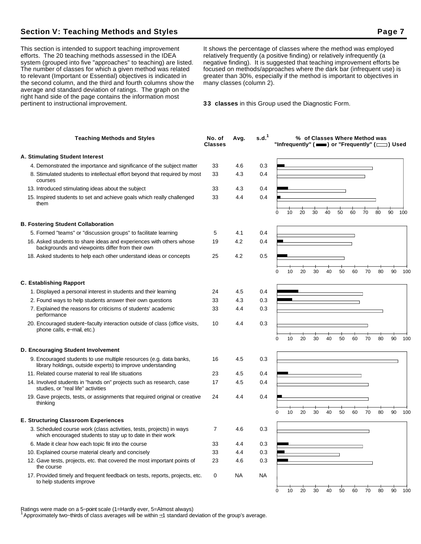## **Section V: Teaching Methods and Styles Page 7 Access Page 7 Access Page 7 Access Page 7**

This section is intended to support teaching improvement efforts. The 20 teaching methods assessed in the IDEA system (grouped into five "approaches" to teaching) are listed. The number of classes for which a given method was related to relevant (Important or Essential) objectives is indicated in the second column, and the third and fourth columns show the average and standard deviation of ratings. The graph on the right hand side of the page contains the information most pertinent to instructional improvement.

It shows the percentage of classes where the method was employed relatively frequently (a positive finding) or relatively infrequently (a negative finding). It is suggested that teaching improvement efforts be focused on methods/approaches where the dark bar (infrequent use) is greater than 30%, especially if the method is important to objectives in many classes (column 2).

**33 classes** in this Group used the Diagnostic Form.

| <b>Teaching Methods and Styles</b>                                                                                                 | No. of<br><b>Classes</b> | Avg. | s.d. <sup>1</sup> | "Infrequently" ( $\equiv$ ) or "Frequently" ( $\equiv$ ) Used |    |    |    |    | % of Classes Where Method was |    |    |    |    |     |
|------------------------------------------------------------------------------------------------------------------------------------|--------------------------|------|-------------------|---------------------------------------------------------------|----|----|----|----|-------------------------------|----|----|----|----|-----|
| A. Stimulating Student Interest                                                                                                    |                          |      |                   |                                                               |    |    |    |    |                               |    |    |    |    |     |
| 4. Demonstrated the importance and significance of the subject matter                                                              | 33                       | 4.6  | 0.3               |                                                               |    |    |    |    |                               |    |    |    |    |     |
| 8. Stimulated students to intellectual effort beyond that required by most<br>courses                                              | 33                       | 4.3  | 0.4               |                                                               |    |    |    |    |                               |    |    |    |    |     |
| 13. Introduced stimulating ideas about the subject                                                                                 | 33                       | 4.3  | 0.4               |                                                               |    |    |    |    |                               |    |    |    |    |     |
| 15. Inspired students to set and achieve goals which really challenged<br>them                                                     | 33                       | 4.4  | 0.4               | 0                                                             | 10 | 20 | 30 | 40 | 50                            | 60 | 70 | 80 | 90 | 100 |
| <b>B. Fostering Student Collaboration</b>                                                                                          |                          |      |                   |                                                               |    |    |    |    |                               |    |    |    |    |     |
| 5. Formed "teams" or "discussion groups" to facilitate learning                                                                    | 5                        | 4.1  | 0.4               |                                                               |    |    |    |    |                               |    |    |    |    |     |
| 16. Asked students to share ideas and experiences with others whose<br>backgrounds and viewpoints differ from their own            | 19                       | 4.2  | 0.4               |                                                               |    |    |    |    |                               |    |    |    |    |     |
| 18. Asked students to help each other understand ideas or concepts                                                                 | 25                       | 4.2  | 0.5               |                                                               |    |    |    |    |                               |    |    |    |    |     |
|                                                                                                                                    |                          |      |                   | 0                                                             | 10 | 20 | 30 | 40 | 50                            | 60 | 70 | 80 | 90 | 100 |
| <b>C. Establishing Rapport</b>                                                                                                     |                          |      |                   |                                                               |    |    |    |    |                               |    |    |    |    |     |
| 1. Displayed a personal interest in students and their learning                                                                    | 24                       | 4.5  | 0.4               |                                                               |    |    |    |    |                               |    |    |    |    |     |
| 2. Found ways to help students answer their own questions                                                                          | 33                       | 4.3  | 0.3               |                                                               |    |    |    |    |                               |    |    |    |    |     |
| 7. Explained the reasons for criticisms of students' academic<br>performance                                                       | 33                       | 4.4  | 0.3               |                                                               |    |    |    |    |                               |    |    |    |    |     |
| 20. Encouraged student-faculty interaction outside of class (office visits,<br>phone calls, e-mail, etc.)                          | 10                       | 4.4  | 0.3               | 0                                                             | 10 | 20 | 30 | 40 | 50                            | 60 | 70 | 80 | 90 | 100 |
| D. Encouraging Student Involvement                                                                                                 |                          |      |                   |                                                               |    |    |    |    |                               |    |    |    |    |     |
| 9. Encouraged students to use multiple resources (e.g. data banks,                                                                 | 16                       | 4.5  | 0.3               |                                                               |    |    |    |    |                               |    |    |    |    |     |
| library holdings, outside experts) to improve understanding                                                                        |                          |      |                   |                                                               |    |    |    |    |                               |    |    |    |    |     |
| 11. Related course material to real life situations                                                                                | 23                       | 4.5  | 0.4               |                                                               |    |    |    |    |                               |    |    |    |    |     |
| 14. Involved students in "hands on" projects such as research, case<br>studies, or "real life" activities                          | 17                       | 4.5  | 0.4               |                                                               |    |    |    |    |                               |    |    |    |    |     |
| 19. Gave projects, tests, or assignments that required original or creative<br>thinking                                            | 24                       | 4.4  | 0.4               |                                                               |    |    |    |    |                               |    |    |    |    |     |
| <b>E. Structuring Classroom Experiences</b>                                                                                        |                          |      |                   | 0                                                             | 10 | 20 | 30 | 40 | 50                            | 60 | 70 | 80 | 90 | 100 |
|                                                                                                                                    |                          |      |                   |                                                               |    |    |    |    |                               |    |    |    |    |     |
| 3. Scheduled course work (class activities, tests, projects) in ways<br>which encouraged students to stay up to date in their work | 7                        | 4.6  | 0.3               |                                                               |    |    |    |    |                               |    |    |    |    |     |
| 6. Made it clear how each topic fit into the course                                                                                | 33                       | 4.4  | 0.3               |                                                               |    |    |    |    |                               |    |    |    |    |     |
| 10. Explained course material clearly and concisely                                                                                | 33                       | 4.4  | 0.3               |                                                               |    |    |    |    |                               |    |    |    |    |     |
| 12. Gave tests, projects, etc. that covered the most important points of<br>the course                                             | 23                       | 4.6  | 0.3               |                                                               |    |    |    |    |                               |    |    |    |    |     |
| 17. Provided timely and frequent feedback on tests, reports, projects, etc.<br>to help students improve                            | 0                        | NA   | <b>NA</b>         |                                                               |    |    |    |    |                               |    |    |    |    |     |
|                                                                                                                                    |                          |      |                   | 0                                                             | 10 | 20 | 30 | 40 | 50                            | 60 | 70 | 80 | 90 | 100 |

Ratings were made on a 5−point scale (1=Hardly ever, 5=Almost always)

<sup>1</sup>Approximately two−thirds of class averages will be within 1 standard deviation of the group's average.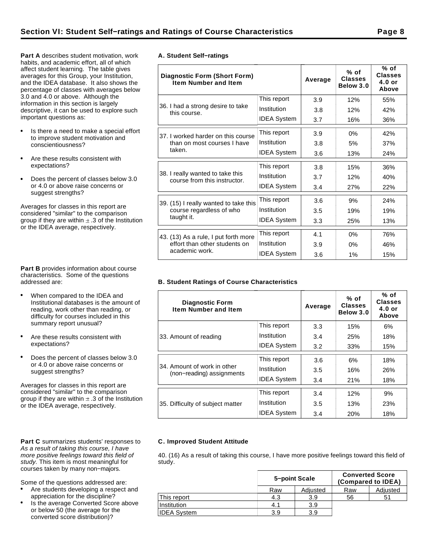**Part A** describes student motivation, work habits, and academic effort, all of which affect student learning. The table gives averages for this Group, your Institution, and the IDEA database. It also shows the percentage of classes with averages below 3.0 and 4.0 or above. Although the information in this section is largely descriptive, it can be used to explore such important questions as:

- Is there a need to make a special effort to improve student motivation and conscientiousness?
- Are these results consistent with expectations?
- Does the percent of classes below 3.0  $\bullet$ or 4.0 or above raise concerns or suggest strengths?

Averages for classes in this report are considered "similar" to the comparison group if they are within  $\pm$  .3 of the Institution or the IDEA average, respectively.

**Part B** provides information about course characteristics. Some of the questions addressed are:

- When compared to the IDEA and Institutional databases is the amount of reading, work other than reading, or difficulty for courses included in this summary report unusual?
- Are these results consistent with expectations?
- Does the percent of classes below 3.0 or 4.0 or above raise concerns or suggest strengths?

Averages for classes in this report are considered "similar" to the comparison group if they are within  $\pm$  .3 of the Institution or the IDEA average, respectively.

#### Part C summarizes students' responses to As a result of taking this course, I have more positive feelings toward this field of study. This item is most meaningful for courses taken by many non−majors.

Some of the questions addressed are:

- Are students developing a respect and appreciation for the discipline?
- Is the average Converted Score above or below 50 (the average for the converted score distribution)?

|  | A. Student Self-ratings |
|--|-------------------------|

| <b>Diagnostic Form (Short Form)</b><br><b>Item Number and Item</b> |                    | Average | $%$ of<br><b>Classes</b><br>Below 3.0 | % of<br><b>Classes</b><br>$4.0$ or<br>Above |
|--------------------------------------------------------------------|--------------------|---------|---------------------------------------|---------------------------------------------|
|                                                                    | This report        | 3.9     | 12%                                   | 55%                                         |
| 36. I had a strong desire to take<br>this course.                  | Institution        | 3.8     | 12%                                   | 42%                                         |
|                                                                    | <b>IDEA System</b> | 3.7     | 16%                                   | 36%                                         |
| 37. I worked harder on this course                                 | This report        | 3.9     | 0%                                    | 42%                                         |
| than on most courses I have<br>taken.                              | Institution        | 3.8     | 5%                                    | 37%                                         |
|                                                                    | <b>IDEA System</b> | 3.6     | 13%                                   | 24%                                         |
|                                                                    | This report        | 3.8     | 15%                                   | 36%                                         |
| 38. I really wanted to take this<br>course from this instructor.   | Institution        | 3.7     | 12%                                   | 40%                                         |
|                                                                    | <b>IDEA System</b> | 3.4     | 27%                                   | 22%                                         |
| 39. (15) I really wanted to take this                              | This report        | 3.6     | 9%                                    | 24%                                         |
| course regardless of who                                           | Institution        | 3.5     | 19%                                   | 19%                                         |
| taught it.                                                         | <b>IDEA System</b> | 3.3     | 25%                                   | 13%                                         |
| 43. (13) As a rule, I put forth more                               | This report        | 4.1     | 0%                                    | 76%                                         |
| effort than other students on                                      | Institution        | 3.9     | 0%                                    | 46%                                         |
| academic work.                                                     | <b>IDEA System</b> | 3.6     | 1%                                    | 15%                                         |

## **B. Student Ratings of Course Characteristics**

| <b>Diagnostic Form</b><br><b>Item Number and Item</b>    |                    | Average | $%$ of<br><b>Classes</b><br>Below 3.0 | % of<br><b>Classes</b><br>$4.0$ or<br>Above |
|----------------------------------------------------------|--------------------|---------|---------------------------------------|---------------------------------------------|
|                                                          | This report        | 3.3     | 15%                                   | 6%                                          |
| 33. Amount of reading                                    | Institution        | 3.4     | 25%                                   | 18%                                         |
|                                                          | <b>IDEA System</b> | 3.2     | 33%                                   | 15%                                         |
|                                                          | This report        | 3.6     | 6%                                    | 18%                                         |
| 34. Amount of work in other<br>(non-reading) assignments | Institution        | 3.5     | 16%                                   | 26%                                         |
|                                                          | <b>IDEA System</b> | 3.4     | 21%                                   | 18%                                         |
|                                                          | This report        | 3.4     | 12%                                   | 9%                                          |
| 35. Difficulty of subject matter                         | Institution        | 3.5     | 13%                                   | 23%                                         |
|                                                          | <b>IDEA System</b> | 3.4     | 20%                                   | 18%                                         |

## **C. Improved Student Attitude**

40. (16) As a result of taking this course, I have more positive feelings toward this field of study.

|                    | 5-point Scale |          | <b>Converted Score</b> | (Compared to IDEA) |
|--------------------|---------------|----------|------------------------|--------------------|
|                    | Raw           | Adjusted | Raw                    | Adjusted           |
| This report        | 4.3           | 3.9      | 56                     | 51                 |
| Institution        | 4.1           | 3.9      |                        |                    |
| <b>IDEA System</b> | 3.9           | 3.9      |                        |                    |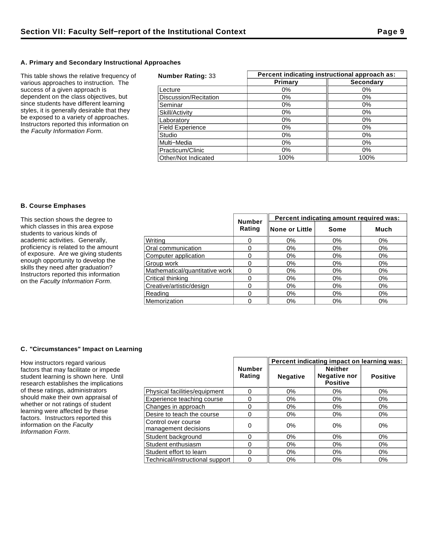## **A. Primary and Secondary Instructional Approaches**

This table shows the relative frequency of various approaches to instruction. The success of a given approach is dependent on the class objectives, but since students have different learning styles, it is generally desirable that they be exposed to a variety of approaches. Instructors reported this information on the Faculty Information Form.

| <b>Number Rating: 33</b> | Percent indicating instructional approach as: |                  |  |  |
|--------------------------|-----------------------------------------------|------------------|--|--|
|                          | Primary                                       | <b>Secondary</b> |  |  |
| Lecture                  | $0\%$                                         | $0\%$            |  |  |
| Discussion/Recitation    | 0%                                            | $0\%$            |  |  |
| Seminar                  | 0%                                            | 0%               |  |  |
| Skill/Activity           | 0%                                            | $0\%$            |  |  |
| Laboratory               | $0\%$                                         | 0%               |  |  |
| <b>Field Experience</b>  | 0%                                            | $0\%$            |  |  |
| Studio                   | $0\%$                                         | $0\%$            |  |  |
| Multi-Media              | $0\%$                                         | $0\%$            |  |  |
| Practicum/Clinic         | $0\%$                                         | $0\%$            |  |  |
| Other/Not Indicated      | 100%                                          | 100%             |  |  |

#### **B. Course Emphases**

| This section shows the degree to                                                                                                                                                                                                                                       | <b>Number</b>                  | Percent indicating amount required was: |                 |       |       |
|------------------------------------------------------------------------------------------------------------------------------------------------------------------------------------------------------------------------------------------------------------------------|--------------------------------|-----------------------------------------|-----------------|-------|-------|
| which classes in this area expose<br>students to various kinds of                                                                                                                                                                                                      |                                | Rating                                  | ∥None or Little | Some  | Much  |
| academic activities. Generally,<br>proficiency is related to the amount<br>of exposure. Are we giving students<br>enough opportunity to develop the<br>skills they need after graduation?<br>Instructors reported this information<br>on the Faculty Information Form. | Writina                        |                                         | 0%              | 0%    | 0%    |
|                                                                                                                                                                                                                                                                        | Oral communication             |                                         | 0%              | 0%    | 0%    |
|                                                                                                                                                                                                                                                                        | Computer application           |                                         | $0\%$           | 0%    | 0%    |
|                                                                                                                                                                                                                                                                        | Group work                     |                                         | 0%              | $0\%$ | $0\%$ |
|                                                                                                                                                                                                                                                                        | Mathematical/quantitative work |                                         | 0%              | $0\%$ | 0%    |
|                                                                                                                                                                                                                                                                        | Critical thinking              |                                         | 0%              | 0%    | $0\%$ |
|                                                                                                                                                                                                                                                                        | Creative/artistic/design       |                                         | 0%              | 0%    | 0%    |
|                                                                                                                                                                                                                                                                        | Reading                        |                                         | 0%              | $0\%$ | 0%    |
|                                                                                                                                                                                                                                                                        | Memorization                   |                                         | 0%              | $0\%$ | 0%    |

## **C. "Circumstances" Impact on Learning**

How instructors regard various factors that may facilitate or impede student learning is shown here. Until research establishes the implications of these ratings, administrators should make their own appraisal of whether or not ratings of student learning were affected by these factors. Instructors reported this information on the Faculty Information Form.

|                                             | Percent indicating impact on learning was: |                 |                                                          |                 |  |
|---------------------------------------------|--------------------------------------------|-----------------|----------------------------------------------------------|-----------------|--|
|                                             | <b>Number</b><br>Rating                    | <b>Negative</b> | <b>Neither</b><br><b>Negative nor</b><br><b>Positive</b> | <b>Positive</b> |  |
| Physical facilities/equipment               | 0                                          | 0%              | $0\%$                                                    | 0%              |  |
| Experience teaching course                  | 0                                          | $0\%$           | $0\%$                                                    | 0%              |  |
| Changes in approach                         | 0                                          | $0\%$           | $0\%$                                                    | 0%              |  |
| Desire to teach the course                  | 0                                          | $0\%$           | 0%                                                       | $0\%$           |  |
| Control over course<br>management decisions | 0                                          | $0\%$           | 0%                                                       | 0%              |  |
| Student background                          | 0                                          | $0\%$           | 0%                                                       | 0%              |  |
| Student enthusiasm                          | 0                                          | $0\%$           | $0\%$                                                    | $0\%$           |  |
| Student effort to learn                     | 0                                          | 0%              | 0%                                                       | $0\%$           |  |
| Technical/instructional support             | 0                                          | $0\%$           | $0\%$                                                    | 0%              |  |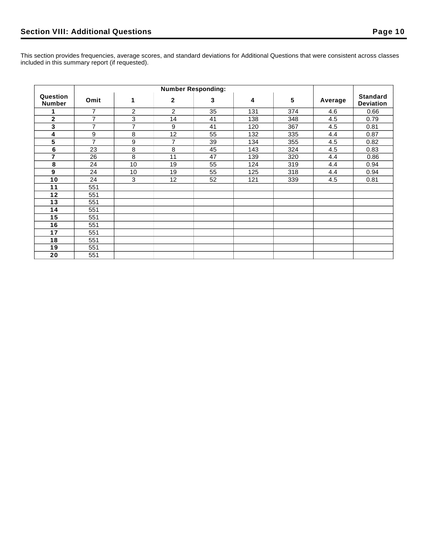|                           | <b>Number Responding:</b> |                |                |    |     |     |         |                                     |
|---------------------------|---------------------------|----------------|----------------|----|-----|-----|---------|-------------------------------------|
| Question<br><b>Number</b> | Omit                      | 1              | $\mathbf{2}$   | 3  | 4   | 5   | Average | <b>Standard</b><br><b>Deviation</b> |
|                           | 7                         | $\overline{c}$ | $\overline{2}$ | 35 | 131 | 374 | 4.6     | 0.66                                |
| $\mathbf{2}$              | $\overline{7}$            | 3              | 14             | 41 | 138 | 348 | 4.5     | 0.79                                |
| 3                         | $\overline{7}$            | $\overline{7}$ | 9              | 41 | 120 | 367 | 4.5     | 0.81                                |
| 4                         | 9                         | 8              | 12             | 55 | 132 | 335 | 4.4     | 0.87                                |
| 5                         | $\overline{7}$            | 9              | $\overline{7}$ | 39 | 134 | 355 | 4.5     | 0.82                                |
| $6\phantom{a}$            | 23                        | 8              | 8              | 45 | 143 | 324 | 4.5     | 0.83                                |
| 7                         | 26                        | 8              | 11             | 47 | 139 | 320 | 4.4     | 0.86                                |
| 8                         | 24                        | 10             | 19             | 55 | 124 | 319 | 4.4     | 0.94                                |
| $\boldsymbol{9}$          | 24                        | 10             | 19             | 55 | 125 | 318 | 4.4     | 0.94                                |
| 10                        | 24                        | 3              | 12             | 52 | 121 | 339 | 4.5     | 0.81                                |
| 11                        | 551                       |                |                |    |     |     |         |                                     |
| 12                        | 551                       |                |                |    |     |     |         |                                     |
| 13                        | 551                       |                |                |    |     |     |         |                                     |
| 14                        | 551                       |                |                |    |     |     |         |                                     |
| 15                        | 551                       |                |                |    |     |     |         |                                     |
| 16                        | 551                       |                |                |    |     |     |         |                                     |
| 17                        | 551                       |                |                |    |     |     |         |                                     |
| 18                        | 551                       |                |                |    |     |     |         |                                     |
| 19                        | 551                       |                |                |    |     |     |         |                                     |
| 20                        | 551                       |                |                |    |     |     |         |                                     |